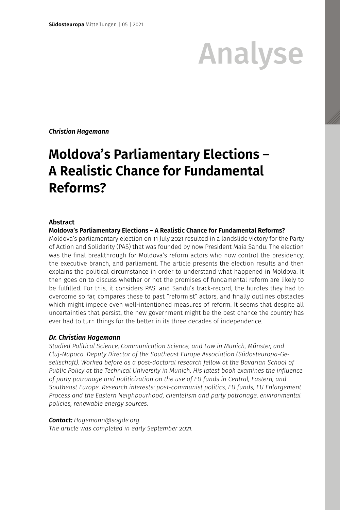# Analyse

*Christian Hagemann*

# **Moldova's Parliamentary Elections – A Realistic Chance for Fundamental Reforms?**

## **Abstract**

**Moldova's Parliamentary Elections – A Realistic Chance for Fundamental Reforms?** 

Moldova's parliamentary election on 11 July 2021 resulted in a landslide victory for the Party of Action and Solidarity (PAS) that was founded by now President Maia Sandu. The election was the final breakthrough for Moldova's reform actors who now control the presidency, the executive branch, and parliament. The article presents the election results and then explains the political circumstance in order to understand what happened in Moldova. It then goes on to discuss whether or not the promises of fundamental reform are likely to be fulfilled. For this, it considers PAS' and Sandu's track-record, the hurdles they had to overcome so far, compares these to past "reformist" actors, and finally outlines obstacles which might impede even well-intentioned measures of reform. It seems that despite all uncertainties that persist, the new government might be the best chance the country has ever had to turn things for the better in its three decades of independence.

# *Dr. Christian Hagemann*

*Studied Political Science, Communication Science, and Law in Munich, Münster, and Cluj-Napoca. Deputy Director of the Southeast Europe Association (Südosteuropa-Gesellschaft). Worked before as a post-doctoral research fellow at the Bavarian School of Public Policy at the Technical University in Munich. His latest book examines the influence of party patronage and politicization on the use of EU funds in Central, Eastern, and Southeast Europe. Research interests: post-communist politics, EU funds, EU Enlargement Process and the Eastern Neighbourhood, clientelism and party patronage, environmental policies, renewable energy sources.*

### *Contact: Hagemann@sogde.org*

*The article was completed in early September 2021.*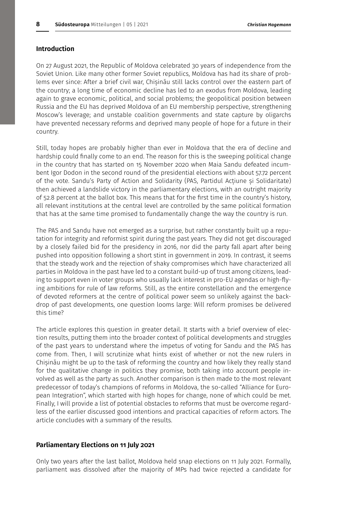# **Introduction**

On 27 August 2021, the Republic of Moldova celebrated 30 years of independence from the Soviet Union. Like many other former Soviet republics, Moldova has had its share of problems ever since: After a brief civil war, Chișinău still lacks control over the eastern part of the country; a long time of economic decline has led to an exodus from Moldova, leading again to grave economic, political, and social problems; the geopolitical position between Russia and the EU has deprived Moldova of an EU membership perspective, strengthening Moscow's leverage; and unstable coalition governments and state capture by oligarchs have prevented necessary reforms and deprived many people of hope for a future in their country.

Still, today hopes are probably higher than ever in Moldova that the era of decline and hardship could finally come to an end. The reason for this is the sweeping political change in the country that has started on 15 November 2020 when Maia Sandu defeated incumbent Igor Dodon in the second round of the presidential elections with about 57.72 percent of the vote. Sandu's Party of Action and Solidarity (PAS, Partidul Acțiune și Solidaritate) then achieved a landslide victory in the parliamentary elections, with an outright majority of 52.8 percent at the ballot box. This means that for the first time in the country's history, all relevant institutions at the central level are controlled by the same political formation that has at the same time promised to fundamentally change the way the country is run.

The PAS and Sandu have not emerged as a surprise, but rather constantly built up a reputation for integrity and reformist spirit during the past years. They did not get discouraged by a closely failed bid for the presidency in 2016, nor did the party fall apart after being pushed into opposition following a short stint in government in 2019. In contrast, it seems that the steady work and the rejection of shaky compromises which have characterized all parties in Moldova in the past have led to a constant build-up of trust among citizens, leading to support even in voter groups who usually lack interest in pro-EU agendas or high-flying ambitions for rule of law reforms. Still, as the entire constellation and the emergence of devoted reformers at the centre of political power seem so unlikely against the backdrop of past developments, one question looms large: Will reform promises be delivered this time?

The article explores this question in greater detail. It starts with a brief overview of election results, putting them into the broader context of political developments and struggles of the past years to understand where the impetus of voting for Sandu and the PAS has come from. Then, I will scrutinize what hints exist of whether or not the new rulers in Chișinău might be up to the task of reforming the country and how likely they really stand for the qualitative change in politics they promise, both taking into account people involved as well as the party as such. Another comparison is then made to the most relevant predecessor of today's champions of reforms in Moldova, the so-called "Alliance for European Integration", which started with high hopes for change, none of which could be met. Finally, I will provide a list of potential obstacles to reforms that must be overcome regardless of the earlier discussed good intentions and practical capacities of reform actors. The article concludes with a summary of the results.

#### **Parliamentary Elections on 11 July 2021**

Only two years after the last ballot, Moldova held snap elections on 11 July 2021. Formally, parliament was dissolved after the majority of MPs had twice rejected a candidate for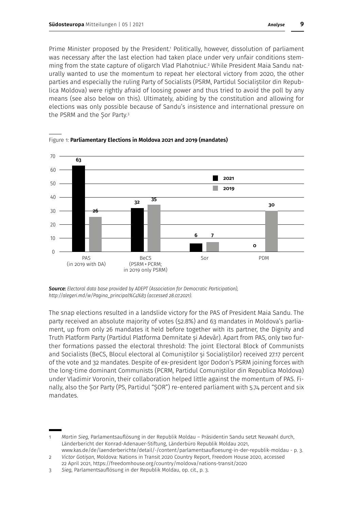Prime Minister proposed by the President.<sup>1</sup> Politically, however, dissolution of parliament was necessary after the last election had taken place under very unfair conditions stemming from the state capture of oligarch Vlad Plahotniuc.2 While President Maia Sandu naturally wanted to use the momentum to repeat her electoral victory from 2020, the other parties and especially the ruling Party of Socialists (PSRM, Partidul Socialiștilor din Republica Moldova) were rightly afraid of loosing power and thus tried to avoid the poll by any means (see also below on this). Ultimately, abiding by the constitution and allowing for elections was only possible because of Sandu's insistence and international pressure on the PSRM and the Sor Party.<sup>3</sup>



Figure 1: **Parliamentary Elections in Moldova 2021 and 2019 (mandates)**

*Source: Electoral data base provided by ADEPT (Association for Democratic Participation), http://alegeri.md/w/Pagina\_principal%C4%83 (accessed 28.07.2021).* 

The snap elections resulted in a landslide victory for the PAS of President Maia Sandu. The party received an absolute majority of votes (52.8%) and 63 mandates in Moldova's parliament, up from only 26 mandates it held before together with its partner, the Dignity and Truth Platform Party (Partidul Platforma Demnitate și Adevăr). Apart from PAS, only two further formations passed the electoral threshold: The joint Electoral Block of Communists and Socialists (BeCS, Blocul electoral al Comuniștilor și Socialiștilor) received 27.17 percent of the vote and 32 mandates. Despite of ex-president Igor Dodon's PSRM joining forces with the long-time dominant Communists (PCRM, Partidul Comuniștilor din Republica Moldova) under Vladimir Voronin, their collaboration helped little against the momentum of PAS. Finally, also the Șor Party (PS, Partidul "ȘOR") re-entered parliament with 5.74 percent and six mandates.

2 *Victor Gotișan,* Moldova: Nations in Transit 2020 Country Report, Freedom House 2020, accessed

<sup>1</sup> *Martin Sieg,* Parlamentsauflösung in der Republik Moldau – Präsidentin Sandu setzt Neuwahl durch, Länderbericht der Konrad-Adenauer-Stiftung, Länderbüro Republik Moldau 2021, www.kas.de/de/laenderberichte/detail/-/content/parlamentsaufloesung-in-der-republik-moldau - p. 3.

<sup>22</sup> April 2021, https://freedomhouse.org/country/moldova/nations-transit/2020

<sup>3</sup> *Sieg,* Parlamentsauflösung in der Republik Moldau, op. cit., p. 3.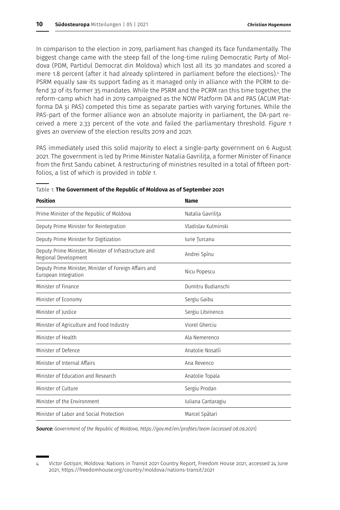In comparison to the election in 2019, parliament has changed its face fundamentally. The biggest change came with the steep fall of the long-time ruling Democratic Party of Moldova (PDM, Partidul Democrat din Moldova) which lost all its 30 mandates and scored a mere 1.8 percent (after it had already splintered in parliament before the elections).4 The PSRM equally saw its support fading as it managed only in alliance with the PCRM to defend 32 of its former 35 mandates. While the PSRM and the PCRM ran this time together, the reform-camp which had in 2019 campaigned as the NOW Platform DA and PAS (ACUM Platforma DA și PAS) competed this time as separate parties with varying fortunes. While the PAS-part of the former alliance won an absolute majority in parliament, the DA-part received a mere 2.33 percent of the vote and failed the parliamentary threshold. *Figure 1* gives an overview of the election results 2019 and 2021.

PAS immediately used this solid majority to elect a single-party government on 6 August 2021. The government is led by Prime Minister Natalia Gavrilița, a former Minister of Finance from the first Sandu cabinet. A restructuring of ministries resulted in a total of fifteen portfolios, a list of which is provided in *table 1*.

| <b>Position</b>                                                                | <b>Name</b>         |  |
|--------------------------------------------------------------------------------|---------------------|--|
| Prime Minister of the Republic of Moldova                                      | Natalia Gavrilita   |  |
| Deputy Prime Minister for Reintegration                                        | Vladislav Kulminski |  |
| Deputy Prime Minister for Digitization                                         | Iurie Turcanu       |  |
| Deputy Prime Minister, Minister of Infrastructure and<br>Regional Development  | Andrei Spînu        |  |
| Deputy Prime Minister, Minister of Foreign Affairs and<br>European Integration | Nicu Popescu        |  |
| Minister of Finance                                                            | Dumitru Budianschi  |  |
| Minister of Economy                                                            | Sergiu Gaibu        |  |
| Minister of Justice                                                            | Sergiu Litvinenco   |  |
| Minister of Agriculture and Food Industry                                      | Viorel Gherciu      |  |
| Minister of Health                                                             | Ala Nemerenco       |  |
| Minister of Defence                                                            | Anatolie Nosatîi    |  |
| Minister of Internal Affairs                                                   | Ana Revenco         |  |
| Minister of Education and Research                                             | Anatolie Topala     |  |
| Minister of Culture                                                            | Sergiu Prodan       |  |
| Minister of the Environment                                                    | Iuliana Cantaragiu  |  |
| Minister of Labor and Social Protection                                        | Marcel Spătari      |  |

|  | Table 1: The Government of the Republic of Moldova as of September 2021 |  |
|--|-------------------------------------------------------------------------|--|
|--|-------------------------------------------------------------------------|--|

*Source: Government of the Republic of Moldova, https://gov.md/en/profiles/team (accessed 08.09.2021).* 

<sup>4</sup> *Victor Gotișan*, Moldova: Nations in Transit 2021 Country Report, Freedom House 2021, accessed 24 June 2021, https://freedomhouse.org/country/moldova/nations-transit/2021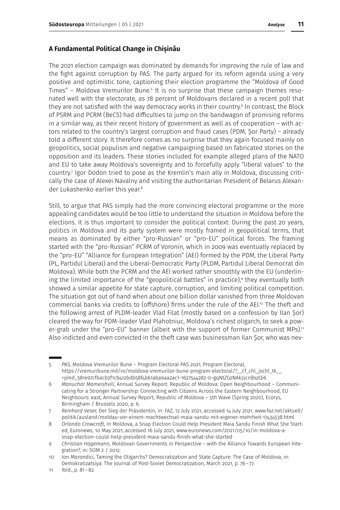# **A Fundamental Political Change in Chișinău**

The 2021 election campaign was dominated by demands for improving the rule of law and the fight against corruption by PAS. The party argued for its reform agenda using a very positive and optimistic tone, captioning their election programme the "Moldova of Good Times" – Moldova Vremurilor Bune.<sup>5</sup> It is no surprise that these campaign themes resonated well with the electorate, as 78 percent of Moldovans declared in a recent poll that they are not satisfied with the way democracy works in their country.6 In contrast, the Block of PSRM and PCRM (BeCS) had difficulties to jump on the bandwagon of promising reforms in a similar way, as their recent history of government as well as of cooperation – with actors related to the country's largest corruption and fraud cases (PDM, Sor Party) – already told a different story. It therefore comes as no surprise that they again focused mainly on geopolitics, social populism and negative campaigning based on fabricated stories on the opposition and its leaders. These stories included for example alleged plans of the NATO and EU to take away Moldova's sovereignty and to forcefully apply "liberal values" to the country.7 Igor Dodon tried to pose as the Kremlin's main ally in Moldova, discussing critically the case of Alexei Navalny and visiting the authoritarian President of Belarus Alexander Lukashenko earlier this year.8

Still, to argue that PAS simply had the more convincing electoral programme or the more appealing candidates would be too little to understand the situation in Moldova before the elections. It is thus important to consider the political context: During the past 20 years, politics in Moldova and its party system were mostly framed in geopolitical terms, that means as dominated by either "pro-Russian" or "pro-EU" political forces. The framing started with the "pro-Russian" PCRM of Voronin, which in 2009 was eventually replaced by the "pro-EU" "Alliance for European Integration" (AEI) formed by the PDM, the Liberal Party (PL, Partidul Liberal) and the Liberal-Democratic Party (PLDM, Partidul Liberal Democrat din Moldova). While both the PCRM and the AEI worked rather smoothly with the EU (underlining the limited importance of the "geopolitical battles" in practice),9 they eventually both showed a similar appetite for state capture, corruption, and limiting political competition. The situation got out of hand when about one billion dollar vanished from three Moldovan commercial banks via credits to (offshore) firms under the rule of the AEI.<sup>10</sup> The theft and the following arrest of PLDM-leader Vlad Filat (mostly based on a confession by Ilan Sor) cleared the way for PDM-leader Vlad Plahotniuc, Moldova's richest oligarch, to seek a power-grab under the "pro-EU" banner (albeit with the support of former Communist MPs).<sup>11</sup> Also indicted and even convicted in the theft case was businessman Ilan Șor, who was nev-

<sup>5</sup> *PAS,* Moldova Vremurilor Bune – Program Electoral PAS 2021, Program Electoral, https://vremuribune.md/ro/moldova-vremurilor-bune-program-electoral/?\_\_cf\_chl\_jschl\_tk\_\_ =pmd\_581e97cfbacb2f1cb412bdb58f4b61aba9aa2ac1-1627544282-0-gqNtZGzNAk2jcnBszQi6

<sup>6</sup> *Manuchar Mameishvili,* Annual Survey Report: Republic of Moldova: Open Neighbourhood – Communicating for a Stronger Partnership: Connecting with Citizens Across the Eastern Neighbourhood, EU Neighbours: east, Annual Survey Report, Republic of Moldova – 5th Wave (Spring 2020), Ecorys, Birmingham / Brussels 2020, p. 6.

<sup>7</sup> *Reinhard Veser,* Der Sieg der Präsidentin, in: FAZ, 12 July 2021, accessed 14 July 2021, www.faz.net/aktuell/ politik/ausland/moldau-vor-einem-machtwechsel-maia-sandu-mit-eigener-mehrheit-17434538.html

<sup>8</sup> *Orlando Crowcroft,* In Moldova, a Snap Election Could Help President Maia Sandu Finish What She Started, Euronews, 10 May 2021, accessed 16 July 2021, www.euronews.com/2021/05/10/in-moldova-asnap-election-could-help-president-maia-sandu-finish-what-she-started

<sup>9</sup> *Christian Hagemann,* Moldovan Governments in Perspective – with the Alliance Towards European Integration?, in: SOM 2 / 2012.

<sup>10</sup> *Ion Marandici,* Taming the Oligarchs? Democratization and State Capture: The Case of Moldova, in: Demokratizatsiya: The Journal of Post-Soviet Democratization, March 2021, p. 76–77.

<sup>11</sup> Ibid., p. 81–82.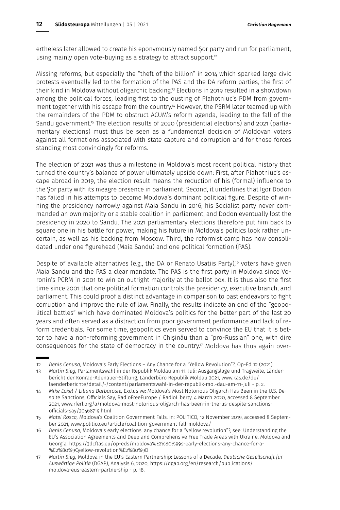ertheless later allowed to create his eponymously named Șor party and run for parliament, using mainly open vote-buying as a strategy to attract support.<sup>12</sup>

Missing reforms, but especially the "theft of the billion" in 2014 which sparked large civic protests eventually led to the formation of the PAS and the DA reform parties, the first of their kind in Moldova without oligarchic backing.13 Elections in 2019 resulted in a showdown among the political forces, leading first to the ousting of Plahotniuc's PDM from government together with his escape from the country.<sup>14</sup> However, the PSRM later teamed up with the remainders of the PDM to obstruct ACUM's reform agenda, leading to the fall of the Sandu government.<sup>15</sup> The election results of 2020 (presidential elections) and 2021 (parliamentary elections) must thus be seen as a fundamental decision of Moldovan voters against all formations associated with state capture and corruption and for those forces standing most convincingly for reforms.

The election of 2021 was thus a milestone in Moldova's most recent political history that turned the country's balance of power ultimately upside down: First, after Plahotniuc's escape abroad in 2019, the election result means the reduction of his (formal) influence to the Șor party with its meagre presence in parliament. Second, it underlines that Igor Dodon has failed in his attempts to become Moldova's dominant political figure. Despite of winning the presidency narrowly against Maia Sandu in 2016, his Socialist party never commanded an own majority or a stable coalition in parliament, and Dodon eventually lost the presidency in 2020 to Sandu. The 2021 parliamentary elections therefore put him back to square one in his battle for power, making his future in Moldova's politics look rather uncertain, as well as his backing from Moscow. Third, the reformist camp has now consolidated under one figurehead (Maia Sandu) and one political formation (PAS).

Despite of available alternatives (e.g., the DA or Renato Usatiis Party),<sup>6</sup> voters have given Maia Sandu and the PAS a clear mandate. The PAS is the first party in Moldova since Voronin's PCRM in 2001 to win an outright majority at the ballot box. It is thus also the first time since 2001 that one political formation controls the presidency, executive branch, and parliament. This could proof a distinct advantage in comparison to past endeavors to fight corruption and improve the rule of law. Finally, the results indicate an end of the "geopolitical battles" which have dominated Moldova's politics for the better part of the last 20 years and often served as a distraction from poor government performance and lack of reform credentials. For some time, geopolitics even served to convince the EU that it is better to have a non-reforming government in Chișinău than a "pro-Russian" one, with dire consequences for the state of democracy in the country.<sup>17</sup> Moldova has thus again over-

<sup>12</sup> *Denis Cenusa,* Moldova's Early Elections – Any Chance for a "Yellow Revolution"?, Op-Ed 12 (2021).

<sup>13</sup> *Martin Sieg,* Parlamentswahl in der Republik Moldau am 11. Juli: Ausgangslage und Tragweite, Länderbericht der Konrad-Adenauer-Stiftung, Länderbüro Republik Moldau 2021, www.kas.de/de/ laenderberichte/detail/-/content/parlamentswahl-in-der-republik-mol-dau-am-11-juli - p. 2.

<sup>14</sup> *Mike Eckel / Liliana Barbarosie,* Exclusive: Moldova's Most Notorious Oligarch Has Been in the U.S. Despite Sanctions, Officials Say, RadioFreeEurope / RadioLiberty, 4 March 2020, accessed 8 September 2021, www.rferl.org/a/moldova-most-notorious-oligarch-has-been-in-the-us-despite-sanctionsofficials-say/30468719.html

<sup>15</sup> *Matei Rosca,* Moldova's Coalition Government Falls, in: POLITICO, 12 November 2019, accessed 8 September 2021, www.politico.eu/article/coalition-government-fall-moldova/

<sup>16</sup> *Denis Cenusa,* Moldova's early elections: any chance for a "yellow revolution"?, see: Understanding the EU's Association Agreements and Deep and Comprehensive Free Trade Areas with Ukraine, Moldova and Georgia, https://3dcftas.eu/op-eds/moldova%E2%80%99s-early-elections-any-chance-for-a- %E2%80%9Cyellow-revolution%E2%80%9D

<sup>17</sup> *Martin Sieg,* Moldova in the EU's Eastern Partnership: Lessons of a Decade, *Deutsche Gesellschaft für Auswärtige Politik* (DGAP), Analysis 6, 2020, https://dgap.org/en/research/publications/ moldova-eus-eastern-partnership - p. 18.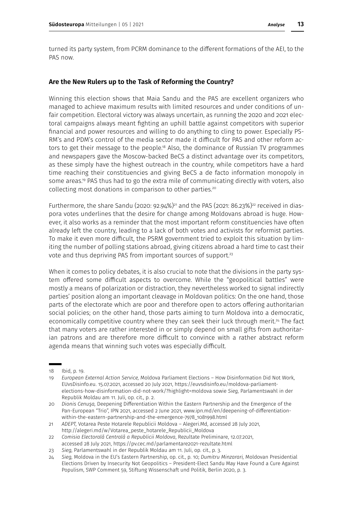turned its party system, from PCRM dominance to the different formations of the AEI, to the PAS now.

# **Are the New Rulers up to the Task of Reforming the Country?**

Winning this election shows that Maia Sandu and the PAS are excellent organizers who managed to achieve maximum results with limited resources and under conditions of unfair competition. Electoral victory was always uncertain, as running the 2020 and 2021 electoral campaigns always meant fighting an uphill battle against competitors with superior financial and power resources and willing to do anything to cling to power. Especially PS-RM's and PDM's control of the media sector made it difficult for PAS and other reform actors to get their message to the people.<sup>18</sup> Also, the dominance of Russian TV programmes and newspapers gave the Moscow-backed BeCS a distinct advantage over its competitors, as these simply have the highest outreach in the country, while competitors have a hard time reaching their constituencies and giving BeCS a de facto information monopoly in some areas.19 PAS thus had to go the extra mile of communicating directly with voters, also collecting most donations in comparison to other parties.20

Furthermore, the share Sandu (2020: 92.94%)<sup>21</sup> and the PAS (2021: 86.23%)<sup>22</sup> received in diaspora votes underlines that the desire for change among Moldovans abroad is huge. However, it also works as a reminder that the most important reform constituencies have often already left the country, leading to a lack of both votes and activists for reformist parties. To make it even more difficult, the PSRM government tried to exploit this situation by limiting the number of polling stations abroad, giving citizens abroad a hard time to cast their vote and thus depriving PAS from important sources of support.<sup>23</sup>

When it comes to policy debates, it is also crucial to note that the divisions in the party system offered some difficult aspects to overcome. While the "geopolitical battles" were mostly a means of polarization or distraction, they nevertheless worked to signal indirectly parties' position along an important cleavage in Moldovan politics: On the one hand, those parts of the electorate which are poor and therefore open to actors offering authoritarian social policies; on the other hand, those parts aiming to turn Moldova into a democratic, economically competitive country where they can seek their luck through merit.<sup>24</sup> The fact that many voters are rather interested in or simply depend on small gifts from authoritarian patrons and are therefore more difficult to convince with a rather abstract reform agenda means that winning such votes was especially difficult.

<sup>18</sup> Ibid, p. 19.

<sup>19</sup> *European External Action Service,* Moldova Parliament Elections – How Disinformation Did Not Work, EUvsDisinfo.eu. 15.07.2021, accessed 20 July 2021, https://euvsdisinfo.eu/moldova-parliamentelections-how-disinformation-did-not-work/?highlight=moldova sowie *Sieg,* Parlamentswahl in der Republik Moldau am 11. Juli, op. cit., p. 2.

<sup>20</sup> *Dionis Cenuşa,* Deepening Differentiation Within the Eastern Partnership and the Emergence of the Pan-European "Trio", IPN 2021, accessed 2 June 2021, www.ipn.md/en/deepening-of-differentiationwithin-the-eastern-partnership-and-the-emergence-7978\_1081998.html

<sup>21</sup> *ADEPT,* Votarea Peste Hotarele Republicii Moldova – Alegeri.Md, accessed 28 July 2021, http://alegeri.md/w/Votarea\_peste\_hotarele\_Republicii\_Moldova

<sup>22</sup> *Comisia Electorală Centrală a Republicii Moldova*, Rezultate Preliminare, 12.07.2021, accessed 28 July 2021, https://pv.cec.md/parlamentare2021-rezultate.html

<sup>23</sup> *Sieg,* Parlamentswahl in der Republik Moldau am 11. Juli, op. cit., p. 3.

<sup>24</sup> *Sieg,* Moldova in the EU's Eastern Partnership, op. cit., p. 10; *Dumitru Minzarari,* Moldovan Presidential Elections Driven by Insecurity Not Geopolitics – President-Elect Sandu May Have Found a Cure Against Populism, SWP Comment 59, Stiftung Wissenschaft und Politik, Berlin 2020, p. 3.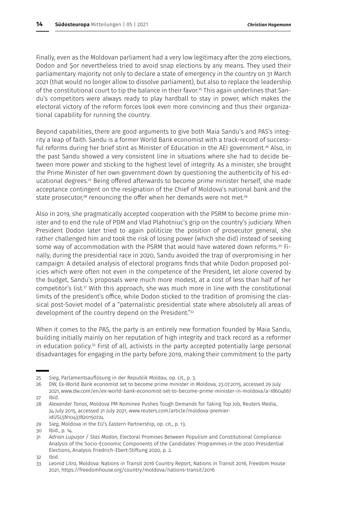Finally, even as the Moldovan parliament had a very low legitimacy after the 2019 elections, Dodon and Șor nevertheless tried to avoid snap elections by any means. They used their parliamentary majority not only to declare a state of emergency in the country on 31 March 2021 (that would no longer allow to dissolve parliament), but also to replace the leadership of the constitutional court to tip the balance in their favor.<sup>25</sup> This again underlines that Sandu's competitors were always ready to play hardball to stay in power, which makes the electoral victory of the reform forces look even more convincing and thus their organizational capability for running the country.

Beyond capabilities, there are good arguments to give both Maia Sandu's and PAS's integrity a leap of faith. Sandu is a former World Bank economist with a track-record of successful reforms during her brief stint as Minister of Education in the AEI government.<sup>26</sup> Also, in the past Sandu showed a very consistent line in situations where she had to decide between more power and sticking to the highest level of integrity. As a minister, she brought the Prime Minister of her own government down by questioning the authenticity of his educational degrees.<sup>27</sup> Being offered afterwards to become prime minister herself, she made acceptance contingent on the resignation of the Chief of Moldova's national bank and the state prosecutor, $28$  renouncing the offer when her demands were not met. $29$ 

Also in 2019, she pragmatically accepted cooperation with the PSRM to become prime minister and to end the rule of PDM and Vlad Plahotniuc's grip on the country's judiciary. When President Dodon later tried to again politicize the position of prosecutor general, she rather challenged him and took the risk of losing power (which she did) instead of seeking some way of accommodation with the PSRM that would have watered down reforms.<sup>30</sup> Finally, during the presidential race in 2020, Sandu avoided the trap of overpromising in her campaign: A detailed analysis of electoral programs finds that while Dodon proposed policies which were often not even in the competence of the President, let alone covered by the budget, Sandu's proposals were much more modest, at a cost of less than half of her competitor's list.31 With this approach, she was much more in line with the constitutional limits of the president's office, while Dodon sticked to the tradition of promising the classical post-Soviet model of a "paternalistic presidential state where absolutely all areas of development of the country depend on the President."32

When it comes to the PAS, the party is an entirely new formation founded by Maia Sandu, building initially mainly on her reputation of high integrity and track record as a reformer in education policy.33 First of all, activists in the party accepted potentially large personal disadvantages for engaging in the party before 2019, making their commitment to the party

29 *Sieg,* Moldova in the EU's Eastern Partnership, op. cit., p. 13.

<sup>25</sup> *Sieg,* Parlamentsauflösung in der Republik Moldau, op. cit., p. 3.

<sup>26</sup> DW, Ex-World Bank economist set to become prime minister in Moldova, 23.07.2015, accessed 29 July 2021, www.dw.com/en/ex-world-bank-economist-set-to-become-prime-minister-in-moldova/a-18604667

<sup>27</sup> Ibid.

<sup>28</sup> *Alexander Tanas,* Moldova PM Nominee Pushes Tough Demands for Taking Top Job, Reuters Media, 24 July 2015, accessed 21 July 2021, www.reuters.com/article/moldova-premieridUSL5N10437820150724

<sup>30</sup> Ibid., p. 14.

<sup>31</sup> *Adrian Lupușor / Stas Madan,* Electoral Promises Between Populism and Constitutional Compliance: Analysis of the Socio-Economic Components of the Candidates' Programmes in the 2020 Presidential Elections, Analysis Friedrich-Ebert-Stiftung 2020, p. 2.

<sup>32</sup> Ibid.

<sup>33</sup> *Leonid Litra,* Moldova: Nations in Transit 2016 Country Report, Nations in Transit 2016, Freedom House 2021, https://freedomhouse.org/country/moldova/nations-transit/2016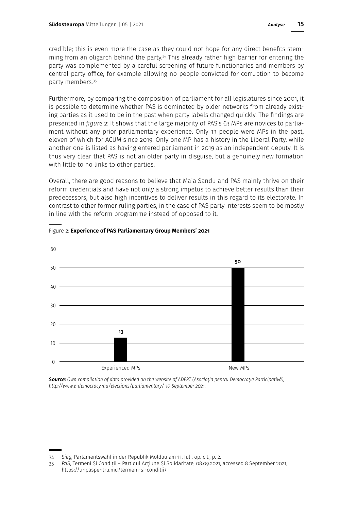credible; this is even more the case as they could not hope for any direct benefits stemming from an oligarch behind the party.34 This already rather high barrier for entering the party was complemented by a careful screening of future functionaries and members by central party office, for example allowing no people convicted for corruption to become party members.<sup>35</sup>

Furthermore, by comparing the composition of parliament for all legislatures since 2001, it is possible to determine whether PAS is dominated by older networks from already existing parties as it used to be in the past when party labels changed quickly. The findings are presented in *figure 2*: It shows that the large majority of PAS's 63 MPs are novices to parliament without any prior parliamentary experience. Only 13 people were MPs in the past, eleven of which for ACUM since 2019. Only one MP has a history in the Liberal Party, while another one is listed as having entered parliament in 2019 as an independent deputy. It is thus very clear that PAS is not an older party in disguise, but a genuinely new formation with little to no links to other parties.

Overall, there are good reasons to believe that Maia Sandu and PAS mainly thrive on their reform credentials and have not only a strong impetus to achieve better results than their predecessors, but also high incentives to deliver results in this regard to its electorate. In contrast to other former ruling parties, in the case of PAS party interests seem to be mostly in line with the reform programme instead of opposed to it.



Figure 2: **Experience of PAS Parliamentary Group Members' 2021**

*Source: Own compilation of data provided on the website of ADEPT (Asociaţia pentru Democraţie Participativă), http://www.e-democracy.md/elections/parliamentary/ 10 September 2021.* 

<sup>34</sup> *Sieg,* Parlamentswahl in der Republik Moldau am 11. Juli, op. cit., p. 2.

<sup>35</sup> *PAS*, Termeni Și Condiții – Partidul Acțiune Și Solidaritate, 08.09.2021, accessed 8 September 2021, https://unpaspentru.md/termeni-si-conditii/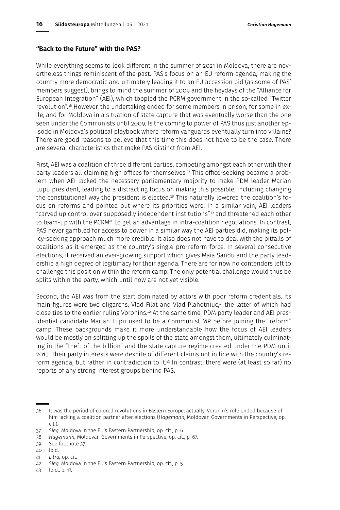# **"Back to the Future" with the PAS?**

While everything seems to look different in the summer of 2021 in Moldova, there are nevertheless things reminiscent of the past. PAS's focus on an EU reform agenda, making the country more democratic and ultimately leading it to an EU accession bid (as some of PAS' members suggest), brings to mind the summer of 2009 and the heydays of the "Alliance for European Integration" (AEI), which toppled the PCRM government in the so-called "Twitter revolution".36 However, the undertaking ended for some members in prison, for some in exile, and for Moldova in a situation of state capture that was eventually worse than the one seen under the Communists until 2009. Is the coming to power of PAS thus just another episode in Moldova's political playbook where reform vanguards eventually turn into villains? There are good reasons to believe that this time this does not have to be the case. There are several characteristics that make PAS distinct from AEI.

First, AEI was a coalition of three different parties, competing amongst each other with their party leaders all claiming high offices for themselves.<sup>37</sup> This office-seeking became a problem when AEI lacked the necessary parliamentary majority to make PDM leader Marian Lupu president, leading to a distracting focus on making this possible, including changing the constitutional way the president is elected.<sup>38</sup> This naturally lowered the coalition's focus on reforms and pointed out where its priorities were. In a similar vein, AEI leaders "carved up control over supposedly independent institutions"39 and threatened each other to team-up with the PCRM<sup>40</sup> to get an advantage in intra-coalition negotiations. In contrast, PAS never gambled for access to power in a similar way the AEI parties did, making its policy-seeking approach much more credible. It also does not have to deal with the pitfalls of coalitions as it emerged as the country's single pro-reform force. In several consecutive elections, it received an ever-growing support which gives Maia Sandu and the party leadership a high degree of legitimacy for their agenda. There are for now no contenders left to challenge this position within the reform camp. The only potential challenge would thus be splits within the party, which until now are not yet visible.

Second, the AEI was from the start dominated by actors with poor reform credentials. Its main figures were two oligarchs, Vlad Filat and Vlad Plahotniuc,<sup>41</sup> the latter of which had close ties to the earlier ruling Voronins.<sup>42</sup> At the same time, PDM party leader and AEI presidential candidate Marian Lupu used to be a Communist MP before joining the "reform" camp. These backgrounds make it more understandable how the focus of AEI leaders would be mostly on splitting up the spoils of the state amongst them, ultimately culminating in the "theft of the billion" and the state capture regime created under the PDM until 2019. Their party interests were despite of different claims not in line with the country's reform agenda, but rather in contradiction to it.<sup>43</sup> In contrast, there were (at least so far) no reports of any strong interest groups behind PAS.

38 *Hagemann,* Moldovan Governments in Perspective, op. cit., p. 67.

40 Ibid.

43 Ibid., p. 17.

<sup>36</sup> It was the period of colored revolutions in Eastern Europe; actually, Voronin's rule ended because of him lacking a coalition partner after elections (*Hagemann,* Moldovan Governments in Perspective, op. cit.).

<sup>37</sup> *Sieg,* Moldova in the EU's Eastern Partnership, op. cit., p. 6.

<sup>39</sup> See footnote 37.

<sup>41</sup> *Litra,* op. cit.

<sup>42</sup> *Sieg,* Moldova in the EU's Eastern Partnership, op. cit., p. 5.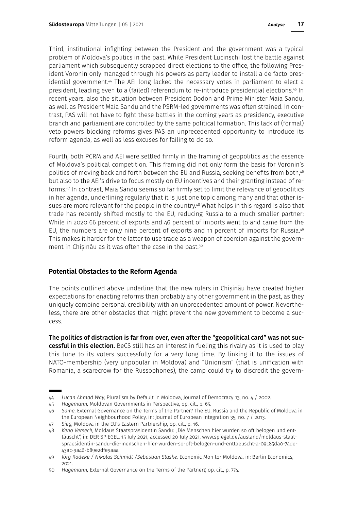Third, institutional infighting between the President and the government was a typical problem of Moldova's politics in the past. While President Lucinschi lost the battle against parliament which subsequently scrapped direct elections to the office, the following President Voronin only managed through his powers as party leader to install a de facto presidential government.<sup>44</sup> The AEI long lacked the necessary votes in parliament to elect a president, leading even to a (failed) referendum to re-introduce presidential elections.45 In recent years, also the situation between President Dodon and Prime Minister Maia Sandu, as well as President Maia Sandu and the PSRM-led governments was often strained. In contrast, PAS will not have to fight these battles in the coming years as presidency, executive branch and parliament are controlled by the same political formation. This lack of (formal) veto powers blocking reforms gives PAS an unprecedented opportunity to introduce its reform agenda, as well as less excuses for failing to do so.

Fourth, both PCRM and AEI were settled firmly in the framing of geopolitics as the essence of Moldova's political competition. This framing did not only form the basis for Voronin's politics of moving back and forth between the EU and Russia, seeking benefits from both,<sup>46</sup> but also to the AEI's drive to focus mostly on EU incentives and their granting instead of reforms.47 In contrast, Maia Sandu seems so far firmly set to limit the relevance of geopolitics in her agenda, underlining regularly that it is just one topic among many and that other issues are more relevant for the people in the country.<sup>48</sup> What helps in this regard is also that trade has recently shifted mostly to the EU, reducing Russia to a much smaller partner: While in 2020 66 percent of exports and 46 percent of imports went to and came from the EU, the numbers are only nine percent of exports and 11 percent of imports for Russia.<sup>49</sup> This makes it harder for the latter to use trade as a weapon of coercion against the government in Chisinău as it was often the case in the past.<sup>50</sup>

# **Potential Obstacles to the Reform Agenda**

The points outlined above underline that the new rulers in Chișinău have created higher expectations for enacting reforms than probably any other government in the past, as they uniquely combine personal credibility with an unprecedented amount of power. Nevertheless, there are other obstacles that might prevent the new government to become a success.

The politics of distraction is far from over, even after the "geopolitical card" was not suc**cessful in this election.** BeCS still has an interest in fueling this rivalry as it is used to play this tune to its voters successfully for a very long time. By linking it to the issues of NATO-membership (very unpopular in Moldova) and "Unionism" (that is unification with Romania, a scarecrow for the Russophones), the camp could try to discredit the govern-

<sup>44</sup> *Lucan Ahmad Way,* Pluralism by Default in Moldova, Journal of Democracy 13, no. 4 / 2002.

<sup>45</sup> *Hagemann,* Moldovan Governments in Perspective, op. cit., p. 65.

<sup>46</sup> *Same*, External Governance on the Terms of the Partner? The EU, Russia and the Republic of Moldova in the European Neighbourhood Policy, in: Journal of European Integration 35, no. 7 / 2013.

<sup>47</sup> *Sieg,* Moldova in the EU's Eastern Partnership, op. cit., p. 16.

<sup>48</sup> *Keno Verseck,* Moldaus Staatspräsidentin Sandu: "Die Menschen hier wurden so oft belogen und enttäuscht", in: DER SPIEGEL, 15 July 2021, accessed 20 July 2021, www.spiegel.de/ausland/moldaus-staatspraesidentin-sandu-die-menschen-hier-wurden-so-oft-belogen-und-enttaeuscht-a-09c85da0-74de-43ac-9a46-b89e2dfe9aaa

<sup>49</sup> *Jörg Radeke / Nikolas Schmidt /Sebastian Staske,* Economic Monitor Moldova, in: Berlin Economics,  $2021$ 

<sup>50</sup> *Hagemann,* External Governance on the Terms of the Partner?, op. cit., p. 774.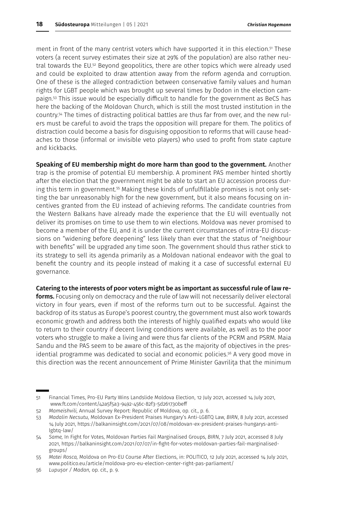ment in front of the many centrist voters which have supported it in this election.<sup>51</sup> These voters (a recent survey estimates their size at 29% of the population) are also rather neutral towards the EU.<sup>52</sup> Beyond geopolitics, there are other topics which were already used and could be exploited to draw attention away from the reform agenda and corruption. One of these is the alleged contradiction between conservative family values and human rights for LGBT people which was brought up several times by Dodon in the election campaign.53 This issue would be especially difficult to handle for the government as BeCS has here the backing of the Moldovan Church, which is still the most trusted institution in the country.54 The times of distracting political battles are thus far from over, and the new rulers must be careful to avoid the traps the opposition will prepare for them. The politics of distraction could become a basis for disguising opposition to reforms that will cause headaches to those (informal or invisible veto players) who used to profit from state capture and kickbacks.

Speaking of EU membership might do more harm than good to the government. Another trap is the promise of potential EU membership. A prominent PAS member hinted shortly after the election that the government might be able to start an EU accession process during this term in government.55 Making these kinds of unfulfillable promises is not only setting the bar unreasonably high for the new government, but it also means focusing on incentives granted from the EU instead of achieving reforms. The candidate countries from the Western Balkans have already made the experience that the EU will eventually not deliver its promises on time to use them to win elections. Moldova was never promised to become a member of the EU, and it is under the current circumstances of intra-EU discussions on "widening before deepening" less likely than ever that the status of "neighbour with benefits" will be upgraded any time soon. The government should thus rather stick to its strategy to sell its agenda primarily as a Moldovan national endeavor with the goal to benefit the country and its people instead of making it a case of successful external EU governance.

#### Catering to the interests of poor voters might be as important as successful rule of law re-

forms. Focusing only on democracy and the rule of law will not necessarily deliver electoral victory in four years, even if most of the reforms turn out to be successful. Against the backdrop of its status as Europe's poorest country, the government must also work towards economic growth and address both the interests of highly qualified expats who would like to return to their country if decent living conditions were available, as well as to the poor voters who struggle to make a living and were thus far clients of the PCRM and PSRM. Maia Sandu and the PAS seem to be aware of this fact, as the majority of objectives in the presidential programme was dedicated to social and economic policies.<sup>56</sup> A very good move in this direction was the recent announcement of Prime Minister Gavrilița that the minimum

<sup>51</sup> Financial Times, Pro-EU Party Wins Landslide Moldova Election, 12 July 2021, accessed 14 July 2021, www.ft.com/content/42a5f5a3-9492-456c-82f3-5d261730beff

<sup>52</sup> *Mameishvili,* Annual Survey Report: Republic of Moldova, op. cit., p. 6.

<sup>53</sup> *Madalin Necsutu,* Moldovan Ex-President Praises Hungary's Anti-LGBTQ Law, *BIRN*, 8 July 2021, accessed 14 July 2021, https://balkaninsight.com/2021/07/08/moldovan-ex-president-praises-hungarys-antilgbtq-law/

<sup>54</sup> *Same,* In Fight for Votes, Moldovan Parties Fail Marginalised Groups, *BIRN*, 7 July 2021, accessed 8 July 2021, https://balkaninsight.com/2021/07/07/in-fight-for-votes-moldovan-parties-fail-marginalisedgroups/

<sup>55</sup> *Matei Rosca,* Moldova on Pro-EU Course After Elections, in: POLITICO, 12 July 2021, accessed 14 July 2021, www.politico.eu/article/moldova-pro-eu-election-center-right-pas-parliament/

<sup>56</sup> *Lupușor / Madan,* op. cit., p. 9.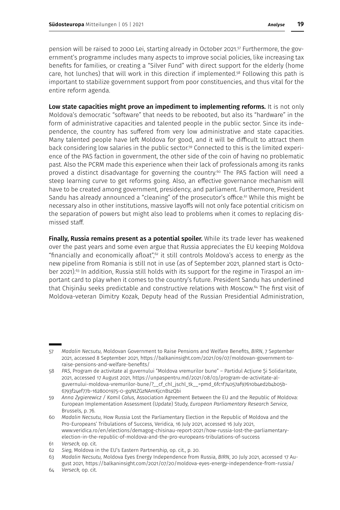pension will be raised to 2000 Lei, starting already in October 2021.57 Furthermore, the government's programme includes many aspects to improve social policies, like increasing tax benefits for families, or creating a "Silver Fund" with direct support for the elderly (home care, hot lunches) that will work in this direction if implemented.58 Following this path is important to stabilize government support from poor constituencies, and thus vital for the entire reform agenda.

Low state capacities might prove an impediment to implementing reforms. It is not only Moldova's democratic "software" that needs to be rebooted, but also its "hardware" in the form of administrative capacities and talented people in the public sector. Since its independence, the country has suffered from very low administrative and state capacities. Many talented people have left Moldova for good, and it will be difficult to attract them back considering low salaries in the public sector.<sup>59</sup> Connected to this is the limited experience of the PAS faction in government, the other side of the coin of having no problematic past. Also the PCRM made this experience when their lack of professionals among its ranks proved a distinct disadvantage for governing the country.<sup>60</sup> The PAS faction will need a steep learning curve to get reforms going. Also, an effective governance mechanism will have to be created among government, presidency, and parliament. Furthermore, President Sandu has already announced a "cleaning" of the prosecutor's office.<sup>61</sup> While this might be necessary also in other institutions, massive layoffs will not only face potential criticism on the separation of powers but might also lead to problems when it comes to replacing dismissed staff.

Finally, Russia remains present as a potential spoiler. While its trade lever has weakened over the past years and some even argue that Russia appreciates the EU keeping Moldova "financially and economically afloat", $62$  it still controls Moldova's access to energy as the new pipeline from Romania is still not in use (as of September 2021, planned start is October 2021).<sup>63</sup> In addition, Russia still holds with its support for the regime in Tiraspol an important card to play when it comes to the country's future. President Sandu has underlined that Chisinău seeks predictable and constructive relations with Moscow.<sup>64</sup> The first visit of Moldova-veteran Dimitry Kozak, Deputy head of the Russian Presidential Administration,

<sup>57</sup> *Madalin Necsutu,* Moldovan Government to Raise Pensions and Welfare Benefits, *BIRN*, 7 September 2021, accessed 8 September 2021, https://balkaninsight.com/2021/09/07/moldovan-government-toraise-pensions-and-welfare-benefits/

<sup>58</sup> *PAS*, Program de activitate al guvernului "Moldova vremurilor bune" – Partidul Acțiune Și Solidaritate, 2021, accessed 17 August 2021, https://unpaspentru.md/2021/08/03/program-de-activitate-alguvernului-moldova-vremurilor-bune/?\_\_cf\_chl\_jschl\_tk\_\_=pmd\_6fc1f74057af97610b4ed2b4b05b-6793f24ef77b-1628001975-0-gqNtZGzNAmKjcnBszQbi

<sup>59</sup> *Anna Zygierewicz / Kamil Całus,* Association Agreement Between the EU and the Republic of Moldova: European Implementation Assessment (Update) Study, *European Parliamentary Research Service*, Brussels, p. 76.

<sup>60</sup> *Madalin Necsutu,* How Russia Lost the Parliamentary Election in the Republic of Moldova and the Pro-Europeans' Tribulations of Success, Veridica, 16 July 2021, accessed 16 July 2021, www.veridica.ro/en/elections/demagog-chisinau-report-2021/how-russia-lost-the-parliamentaryelection-in-the-republic-of-moldova-and-the-pro-europeans-tribulations-of-success

<sup>61</sup> *Verseck,* op. cit.

<sup>62</sup> *Sieg,* Moldova in the EU's Eastern Partnership, op. cit., p. 20.

<sup>63</sup> *Madalin Necsutu,* Moldova Eyes Energy Independence from Russia, *BIRN*, 20 July 2021, accessed 17 August 2021, https://balkaninsight.com/2021/07/20/moldova-eyes-energy-independence-from-russia/

<sup>64</sup> *Verseck,* op. cit.